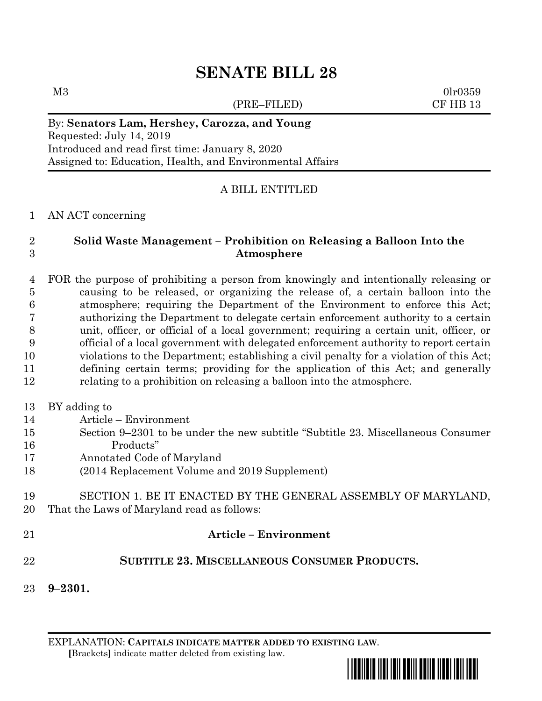# **SENATE BILL 28**

(PRE–FILED) CF HB 13

 $M3$  0lr0359

#### By: **Senators Lam, Hershey, Carozza, and Young** Requested: July 14, 2019 Introduced and read first time: January 8, 2020 Assigned to: Education, Health, and Environmental Affairs

### A BILL ENTITLED

AN ACT concerning

#### **Solid Waste Management – Prohibition on Releasing a Balloon Into the Atmosphere**

 FOR the purpose of prohibiting a person from knowingly and intentionally releasing or causing to be released, or organizing the release of, a certain balloon into the atmosphere; requiring the Department of the Environment to enforce this Act; authorizing the Department to delegate certain enforcement authority to a certain unit, officer, or official of a local government; requiring a certain unit, officer, or official of a local government with delegated enforcement authority to report certain violations to the Department; establishing a civil penalty for a violation of this Act; defining certain terms; providing for the application of this Act; and generally relating to a prohibition on releasing a balloon into the atmosphere.

- BY adding to
- Article Environment
- Section 9–2301 to be under the new subtitle "Subtitle 23. Miscellaneous Consumer Products"
- Annotated Code of Maryland
- (2014 Replacement Volume and 2019 Supplement)
- SECTION 1. BE IT ENACTED BY THE GENERAL ASSEMBLY OF MARYLAND, That the Laws of Maryland read as follows:
- **Article – Environment**

## **SUBTITLE 23. MISCELLANEOUS CONSUMER PRODUCTS.**

**9–2301.**

EXPLANATION: **CAPITALS INDICATE MATTER ADDED TO EXISTING LAW**.  **[**Brackets**]** indicate matter deleted from existing law.

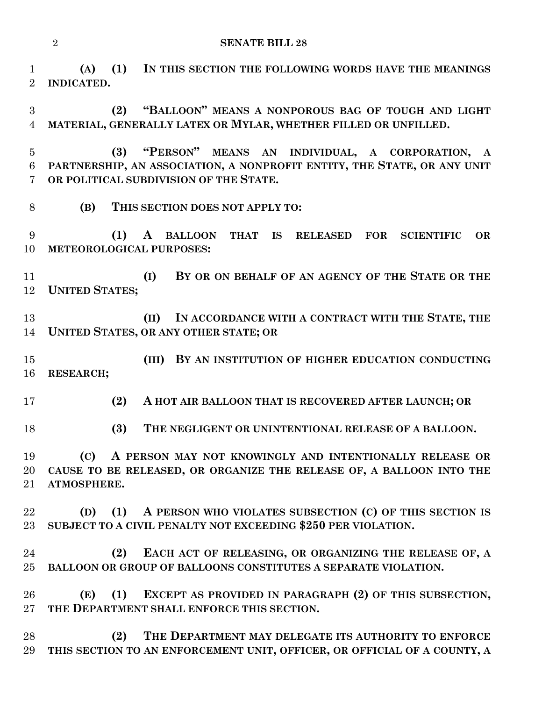```
2 SENATE BILL 28
```
 **(A) (1) IN THIS SECTION THE FOLLOWING WORDS HAVE THE MEANINGS INDICATED.**

 **(2) "BALLOON" MEANS A NONPOROUS BAG OF TOUGH AND LIGHT MATERIAL, GENERALLY LATEX OR MYLAR, WHETHER FILLED OR UNFILLED.**

 **(3) "PERSON" MEANS AN INDIVIDUAL, A CORPORATION, A PARTNERSHIP, AN ASSOCIATION, A NONPROFIT ENTITY, THE STATE, OR ANY UNIT OR POLITICAL SUBDIVISION OF THE STATE.**

**(B) THIS SECTION DOES NOT APPLY TO:**

 **(1) A BALLOON THAT IS RELEASED FOR SCIENTIFIC OR METEOROLOGICAL PURPOSES:**

 **(I) BY OR ON BEHALF OF AN AGENCY OF THE STATE OR THE UNITED STATES;**

 **(II) IN ACCORDANCE WITH A CONTRACT WITH THE STATE, THE UNITED STATES, OR ANY OTHER STATE; OR**

 **(III) BY AN INSTITUTION OF HIGHER EDUCATION CONDUCTING RESEARCH;**

**(2) A HOT AIR BALLOON THAT IS RECOVERED AFTER LAUNCH; OR**

**(3) THE NEGLIGENT OR UNINTENTIONAL RELEASE OF A BALLOON.**

 **(C) A PERSON MAY NOT KNOWINGLY AND INTENTIONALLY RELEASE OR CAUSE TO BE RELEASED, OR ORGANIZE THE RELEASE OF, A BALLOON INTO THE ATMOSPHERE.**

 **(D) (1) A PERSON WHO VIOLATES SUBSECTION (C) OF THIS SECTION IS SUBJECT TO A CIVIL PENALTY NOT EXCEEDING \$250 PER VIOLATION.**

 **(2) EACH ACT OF RELEASING, OR ORGANIZING THE RELEASE OF, A BALLOON OR GROUP OF BALLOONS CONSTITUTES A SEPARATE VIOLATION.**

 **(E) (1) EXCEPT AS PROVIDED IN PARAGRAPH (2) OF THIS SUBSECTION, THE DEPARTMENT SHALL ENFORCE THIS SECTION.**

 **(2) THE DEPARTMENT MAY DELEGATE ITS AUTHORITY TO ENFORCE THIS SECTION TO AN ENFORCEMENT UNIT, OFFICER, OR OFFICIAL OF A COUNTY, A**